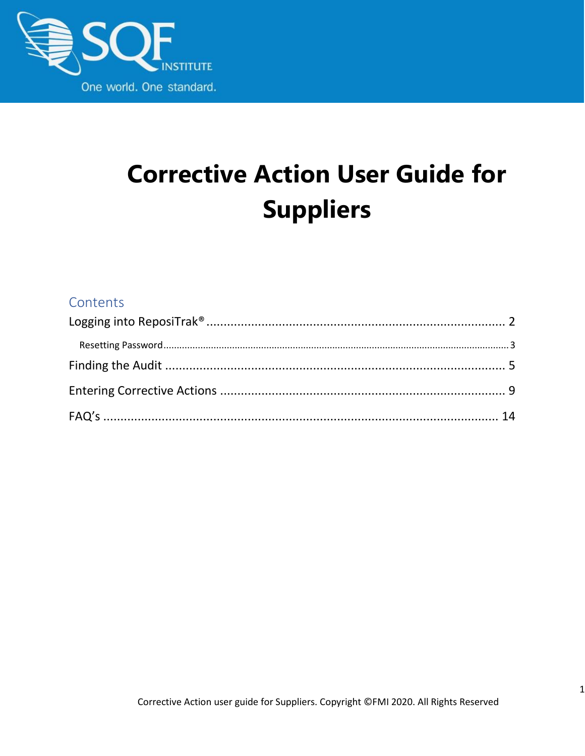

# **Corrective Action User Guide for Suppliers**

#### Contents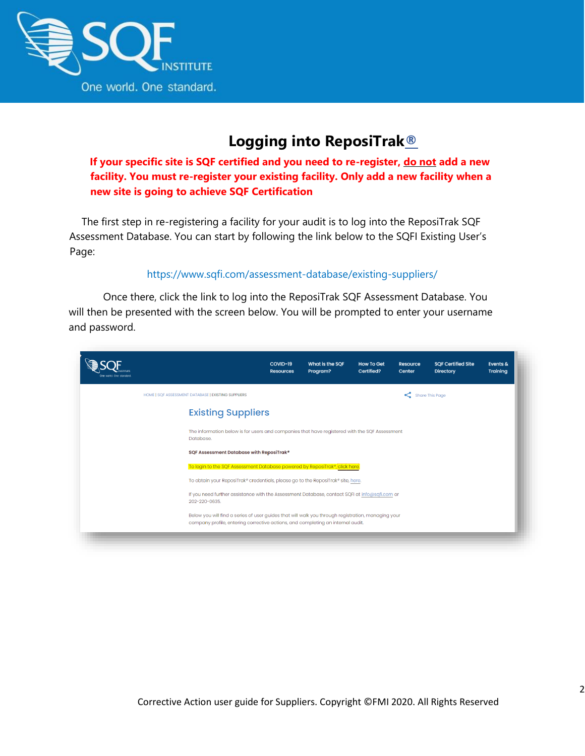

## **Logging into ReposiTrak®**

<span id="page-1-0"></span>**If your specific site is SQF certified and you need to re-register, do not add a new facility. You must re-register your existing facility. Only add a new facility when a new site is going to achieve SQF Certification**

The first step in re-registering a facility for your audit is to log into the ReposiTrak SQF Assessment Database. You can start by following the link below to the SQFI Existing User's Page:

#### <https://www.sqfi.com/assessment-database/existing-suppliers/>

Once there, click the link to log into the ReposiTrak SQF Assessment Database. You will then be presented with the screen below. You will be prompted to enter your username and password.

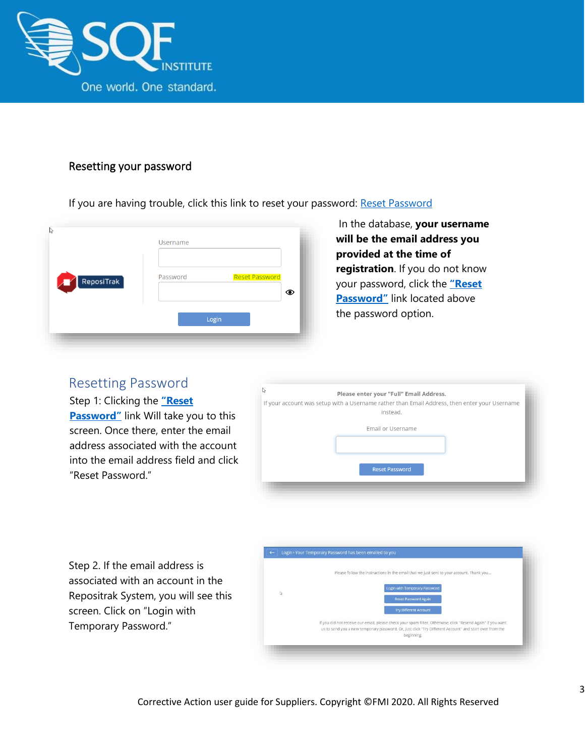

#### <span id="page-2-0"></span>Resetting your password

If you are having trouble, click this link to reset your password: [Reset Password](https://www.ac.parkcitygroup.com/application/vwavecgi/private/vialink.cgi/login/app)

| Ľ5<br>$\sqrt{\phantom{a}}$ ReposiTrak | Username<br><b>Reset Password</b><br>Password |
|---------------------------------------|-----------------------------------------------|
|                                       | ◉<br>Login                                    |

#### In the database, **your username will be the email address you provided at the time of registration**. If you do not know your password, click the **["Reset](https://www.ac.parkcitygroup.com/application/vwavecgi/private/vialink2.cgi/submit)  [Password"](https://www.ac.parkcitygroup.com/application/vwavecgi/private/vialink2.cgi/submit)** link located above the password option.

#### Resetting Password

Step 1: Clicking the **["Reset](https://www.ac.parkcitygroup.com/application/vwavecgi/private/vialink2.cgi/submit)  [Password"](https://www.ac.parkcitygroup.com/application/vwavecgi/private/vialink2.cgi/submit)** link Will take you to this screen. Once there, enter the email address associated with the account into the email address field and click "Reset Password."



Step 2. If the email address is associated with an account in the Repositrak System, you will see this screen. Click on "Login with Temporary Password."

|   | Please follow the instructions in the email that we just sent to your account. Thank you                                                                                                                                              |
|---|---------------------------------------------------------------------------------------------------------------------------------------------------------------------------------------------------------------------------------------|
|   | Login with Temporary Password                                                                                                                                                                                                         |
| Q | <b>Reset Password Again</b>                                                                                                                                                                                                           |
|   | <b>Try Different Account</b>                                                                                                                                                                                                          |
|   | If you did not receive our email, please check your spam filter. Otherwise, click "Resend Again" if you want<br>us to send you a new temporary password. Or, just click "Try Different Account" and start over from the<br>beginning. |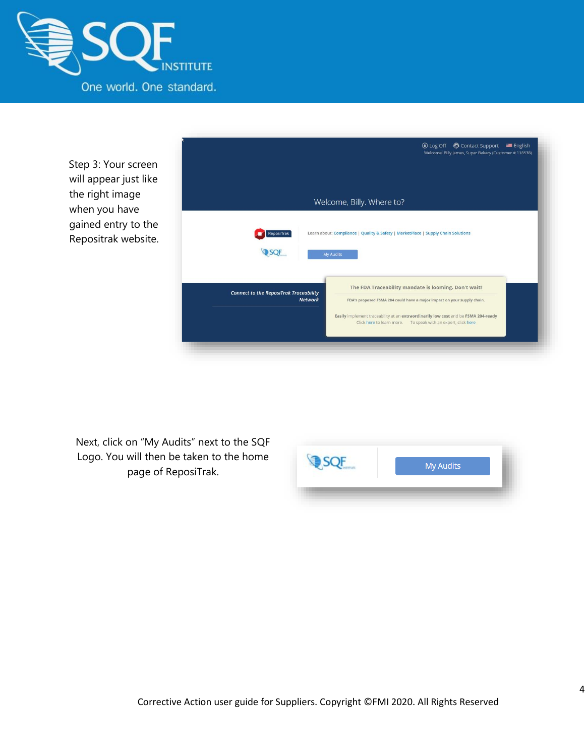

Step 3: Your screen will appear just like the right image when you have gained entry to the Repositrak website.



Next, click on "My Audits" next to the SQF Logo. You will then be taken to the home page of ReposiTrak.

| My Audits |
|-----------|
|           |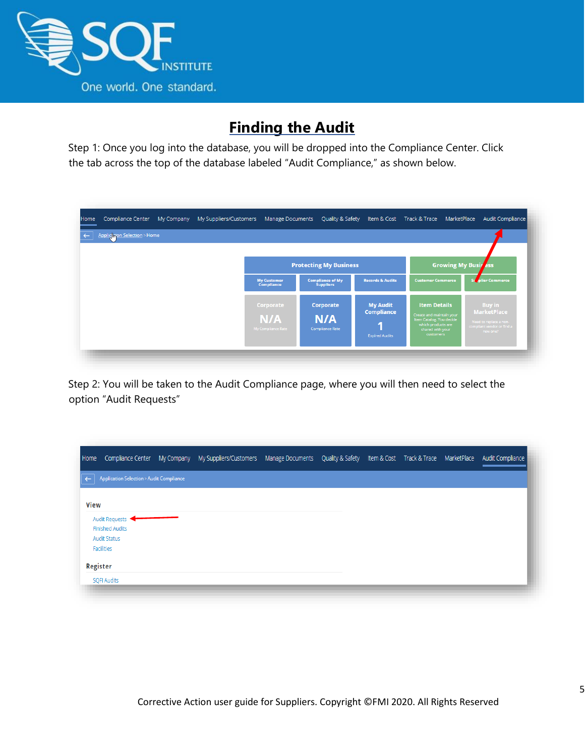

## **Finding the Audit**

<span id="page-4-0"></span>Step 1: Once you log into the database, you will be dropped into the Compliance Center. Click the tab across the top of the database labeled "Audit Compliance," as shown below.

| Applic Hion Selection > Home |                                         |                                             |                                                                    |                                                                                                                                           |                                                                                                         |
|------------------------------|-----------------------------------------|---------------------------------------------|--------------------------------------------------------------------|-------------------------------------------------------------------------------------------------------------------------------------------|---------------------------------------------------------------------------------------------------------|
|                              |                                         | <b>Protecting My Business</b>               |                                                                    |                                                                                                                                           | <b>Growing My Busir Ass</b>                                                                             |
|                              | <b>My Customer</b><br><b>Compliance</b> | <b>Compliance of My</b><br><b>Suppliers</b> | <b>Records &amp; Audits</b>                                        | <b>Customer Commerce</b>                                                                                                                  | Su<br>er Commerce                                                                                       |
|                              | Corporate<br>N/A<br>My Compliance Rate  | Corporate<br>N/A<br><b>Compliance Rate</b>  | <b>My Audit</b><br><b>Compliance</b><br>u<br><b>Expired Audits</b> | <b>Item Details</b><br>Create and maintain your<br>Item Catalog. You decide<br>which products are<br>shared with your<br><b>customers</b> | <b>Buy in</b><br><b>MarketPlace</b><br>Need to replace a non-<br>compliant vendor or find a<br>new one? |

Step 2: You will be taken to the Audit Compliance page, where you will then need to select the option "Audit Requests"

| Home         |                                          | Compliance Center My Company My Suppliers/Customers Manage Documents Quality & Safety Item & Cost Track & Trace MarketPlace Audit Compliance |  |  |  |
|--------------|------------------------------------------|----------------------------------------------------------------------------------------------------------------------------------------------|--|--|--|
| $\leftarrow$ | Application Selection > Audit Compliance |                                                                                                                                              |  |  |  |
| <b>View</b>  |                                          |                                                                                                                                              |  |  |  |
|              | Audit Requests<br><b>Finished Audits</b> |                                                                                                                                              |  |  |  |
|              | <b>Audit Status</b>                      |                                                                                                                                              |  |  |  |
|              | Facilities                               |                                                                                                                                              |  |  |  |
| Register     |                                          |                                                                                                                                              |  |  |  |
|              | <b>SQFI Audits</b>                       |                                                                                                                                              |  |  |  |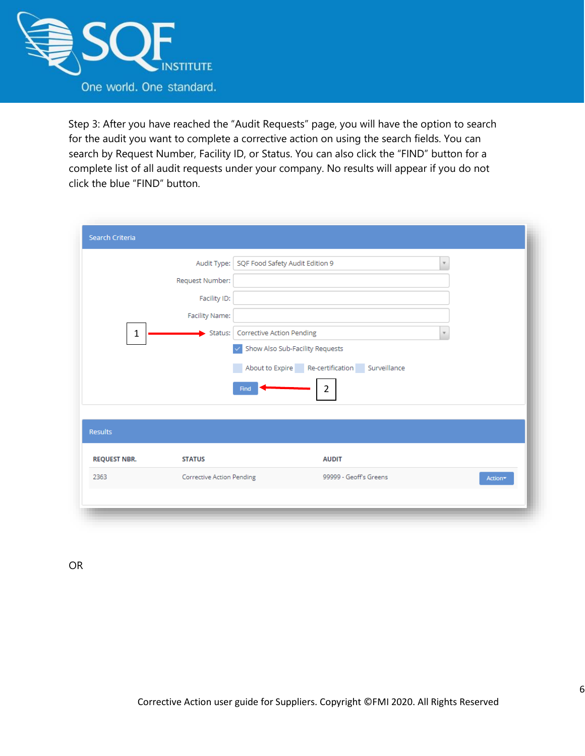

Step 3: After you have reached the "Audit Requests" page, you will have the option to search for the audit you want to complete a corrective action on using the search fields. You can search by Request Number, Facility ID, or Status. You can also click the "FIND" button for a complete list of all audit requests under your company. No results will appear if you do not click the blue "FIND" button.

|                     | Audit Type:                      | SQF Food Safety Audit Edition 9               | $\overline{\mathbf{v}}$ |
|---------------------|----------------------------------|-----------------------------------------------|-------------------------|
|                     |                                  |                                               |                         |
|                     | Request Number:                  |                                               |                         |
|                     | Facility ID:                     |                                               |                         |
|                     | Facility Name:                   |                                               |                         |
| $\mathbf 1$         | $\blacktriangleright$ Status:    | <b>Corrective Action Pending</b>              |                         |
|                     |                                  | Show Also Sub-Facility Requests               |                         |
|                     |                                  | About to Expire Re-certification Surveillance |                         |
|                     |                                  | $\overline{2}$<br>Find                        |                         |
|                     |                                  |                                               |                         |
| <b>Results</b>      |                                  |                                               |                         |
|                     |                                  |                                               |                         |
| <b>REQUEST NBR.</b> | <b>STATUS</b>                    | <b>AUDIT</b>                                  |                         |
| 2363                | <b>Corrective Action Pending</b> | 99999 - Geoff's Greens                        | Action*                 |
|                     |                                  |                                               |                         |

OR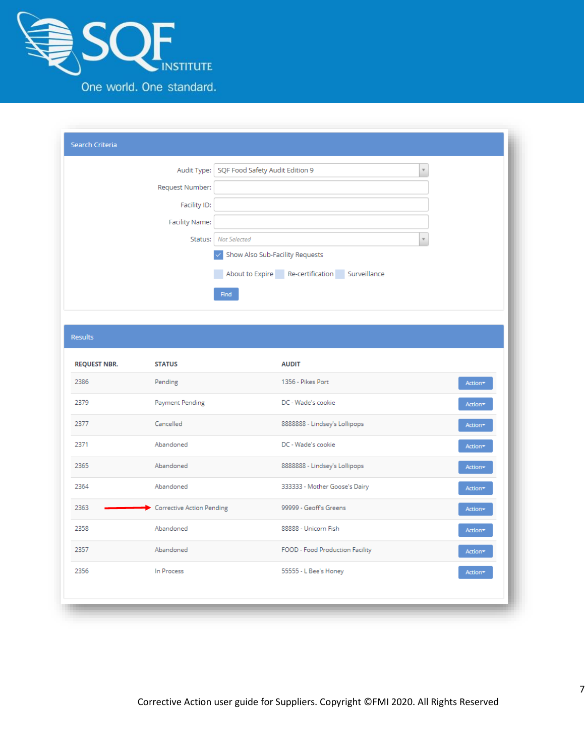

| Search Criteria |                                                                    |
|-----------------|--------------------------------------------------------------------|
|                 | Audit Type:   SQF Food Safety Audit Edition 9                      |
| Request Number: |                                                                    |
| Facility ID:    |                                                                    |
| Facility Name:  |                                                                    |
| Status:         | <b>Not Selected</b><br>$\overline{\phantom{a}}$                    |
|                 | Show Also Sub-Facility Requests<br>$\checkmark$                    |
|                 | About to Expire Re-certification Surveillance<br><b>CONTRACTOR</b> |
|                 | Find                                                               |
|                 |                                                                    |
| Results         |                                                                    |

| <b>REQUEST NBR.</b> | <b>STATUS</b>                    | <b>AUDIT</b>                    |         |
|---------------------|----------------------------------|---------------------------------|---------|
| 2386                | Pending                          | 1356 - Pikes Port               | Action* |
| 2379                | Payment Pending                  | DC - Wade's cookie              | Action* |
| 2377                | Cancelled                        | 8888888 - Lindsey's Lollipops   | Action* |
| 2371                | Abandoned                        | DC - Wade's cookie              | Action* |
| 2365                | Abandoned                        | 8888888 - Lindsey's Lollipops   | Action- |
| 2364                | Abandoned                        | 333333 - Mother Goose's Dairy   | Action* |
| 2363                | <b>Corrective Action Pending</b> | 99999 - Geoff's Greens          | Action- |
| 2358                | Abandoned                        | 88888 - Unicorn Fish            | Action* |
| 2357                | Abandoned                        | FOOD - Food Production Facility | Action* |
| 2356                | In Process                       | 55555 - L Bee's Honey           | Action* |
|                     |                                  |                                 |         |
|                     |                                  |                                 |         |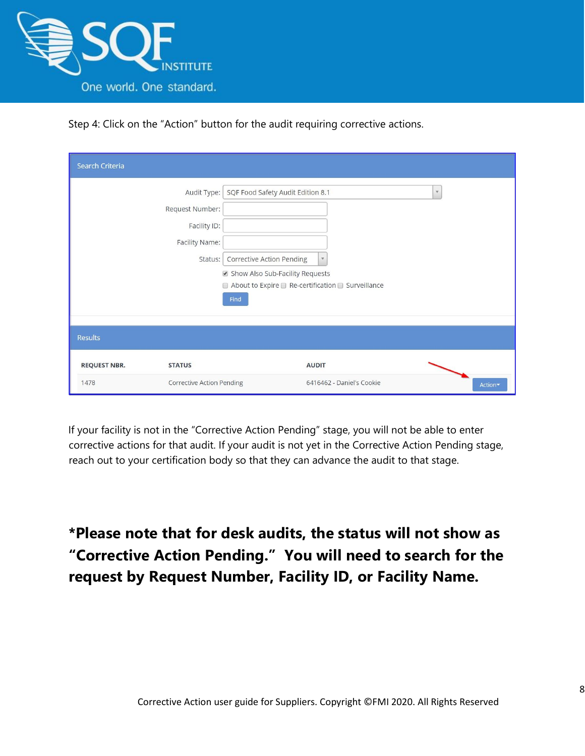

Step 4: Click on the "Action" button for the audit requiring corrective actions.

| <b>Search Criteria</b>               |                                                                                                                                                                       |                                                                                     |                         |
|--------------------------------------|-----------------------------------------------------------------------------------------------------------------------------------------------------------------------|-------------------------------------------------------------------------------------|-------------------------|
| Request Number:                      | SQF Food Safety Audit Edition 8.1<br>Audit Type:<br>Facility ID:<br>Facility Name:<br>Corrective Action Pending<br>Status:<br>Show Also Sub-Facility Requests<br>Find | $\mathbb {V}$<br>$\Box$ About to Expire $\Box$ Re-certification $\Box$ Surveillance | $\overline{\mathbf{v}}$ |
| <b>Results</b>                       |                                                                                                                                                                       |                                                                                     |                         |
| <b>REQUEST NBR.</b><br><b>STATUS</b> |                                                                                                                                                                       | <b>AUDIT</b>                                                                        |                         |
| 1478                                 | <b>Corrective Action Pending</b>                                                                                                                                      | 6416462 - Daniel's Cookie                                                           | Action                  |

If your facility is not in the "Corrective Action Pending" stage, you will not be able to enter corrective actions for that audit. If your audit is not yet in the Corrective Action Pending stage, reach out to your certification body so that they can advance the audit to that stage.

# **\*Please note that for desk audits, the status will not show as "Corrective Action Pending." You will need to search for the request by Request Number, Facility ID, or Facility Name.**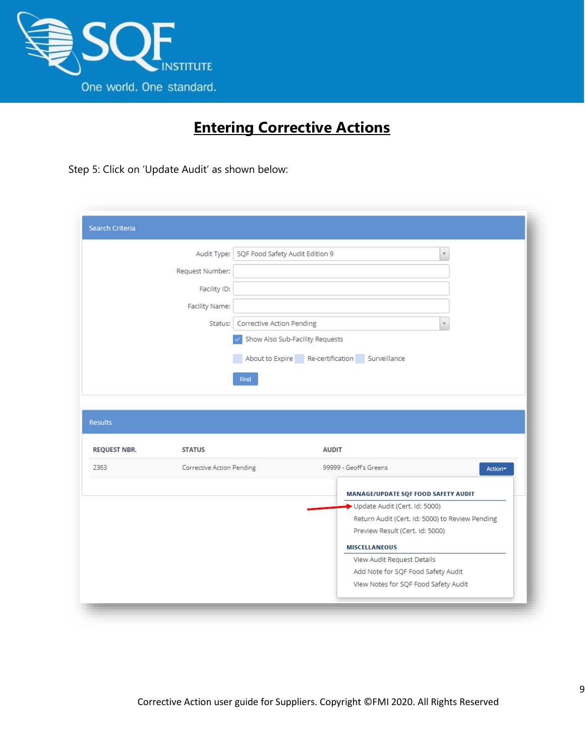

## **Entering Corrective Actions**

<span id="page-8-0"></span>Step 5: Click on 'Update Audit' as shown below:

|                             | Audit Type:                      | SQF Food Safety Audit Edition 9  |                                 | $\overline{\mathbf{v}}$                                              |
|-----------------------------|----------------------------------|----------------------------------|---------------------------------|----------------------------------------------------------------------|
|                             | Request Number:                  |                                  |                                 |                                                                      |
|                             | Facility ID:                     |                                  |                                 |                                                                      |
|                             | Facility Name:                   |                                  |                                 |                                                                      |
|                             | Status:                          | <b>Corrective Action Pending</b> |                                 |                                                                      |
|                             |                                  |                                  | Show Also Sub-Facility Requests |                                                                      |
|                             |                                  |                                  |                                 | About to Expire Re-certification Surveillance                        |
|                             |                                  | <b>Find</b>                      |                                 |                                                                      |
|                             |                                  |                                  |                                 |                                                                      |
|                             |                                  |                                  |                                 |                                                                      |
|                             |                                  |                                  |                                 |                                                                      |
|                             |                                  |                                  |                                 |                                                                      |
| <b>Results</b>              |                                  |                                  |                                 |                                                                      |
|                             | <b>STATUS</b>                    |                                  | <b>AUDIT</b>                    |                                                                      |
|                             | <b>Corrective Action Pending</b> |                                  |                                 | 99999 - Geoff's Greens<br>Action*                                    |
|                             |                                  |                                  |                                 |                                                                      |
|                             |                                  |                                  |                                 | MANAGE/UPDATE SQF FOOD SAFETY AUDIT<br>Update Audit (Cert. Id: 5000) |
|                             |                                  |                                  |                                 | Return Audit (Cert. Id: 5000) to Review Pending                      |
|                             |                                  |                                  |                                 | Preview Result (Cert. Id: 5000)                                      |
|                             |                                  |                                  |                                 | <b>MISCELLANEOUS</b>                                                 |
|                             |                                  |                                  |                                 | View Audit Request Details                                           |
| <b>REQUEST NBR.</b><br>2363 |                                  |                                  |                                 | Add Note for SQF Food Safety Audit                                   |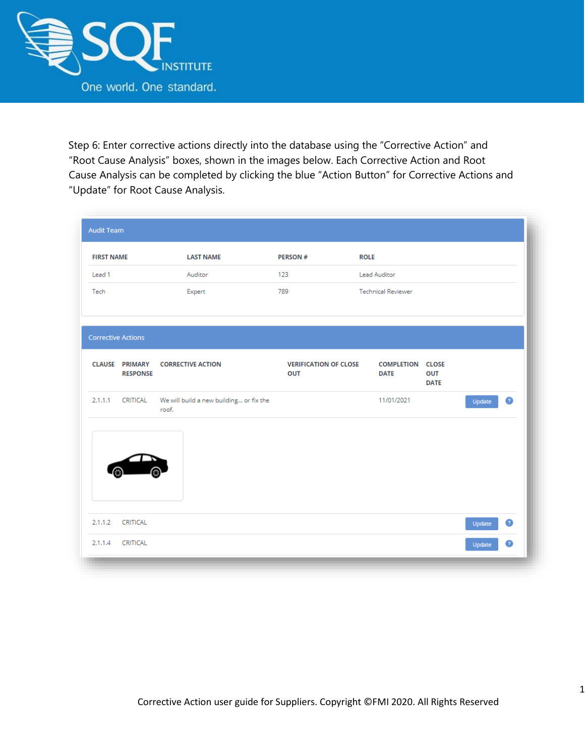

Step 6: Enter corrective actions directly into the database using the "Corrective Action" and "Root Cause Analysis" boxes, shown in the images below. Each Corrective Action and Root Cause Analysis can be completed by clicking the blue "Action Button" for Corrective Actions and "Update" for Root Cause Analysis.

| <b>FIRST NAME</b> |                           | <b>LAST NAME</b>                                 | <b>PERSON#</b>                      | <b>ROLE</b>                            |                    |                     |  |
|-------------------|---------------------------|--------------------------------------------------|-------------------------------------|----------------------------------------|--------------------|---------------------|--|
| Lead 1            |                           | Auditor                                          | 123                                 | Lead Auditor                           |                    |                     |  |
| Tech              |                           | Expert                                           | 789                                 | <b>Technical Reviewer</b>              |                    |                     |  |
|                   | <b>Corrective Actions</b> |                                                  |                                     |                                        |                    |                     |  |
|                   | <b>RESPONSE</b>           | <b>CLAUSE PRIMARY CORRECTIVE ACTION</b>          | <b>VERIFICATION OF CLOSE</b><br>OUT | <b>COMPLETION CLOSE</b><br><b>DATE</b> | OUT<br><b>DATE</b> |                     |  |
|                   | 2.1.1.1 CRITICAL          | We will build a new building or fix the<br>roof. |                                     | 11/01/2021                             |                    | $\bullet$<br>Update |  |
|                   |                           |                                                  |                                     |                                        |                    |                     |  |
|                   |                           |                                                  |                                     |                                        |                    |                     |  |
|                   |                           |                                                  |                                     |                                        |                    |                     |  |
|                   | CRITICAL                  |                                                  |                                     |                                        |                    | $\bullet$<br>Update |  |
| 2.1.1.2           |                           |                                                  |                                     |                                        |                    |                     |  |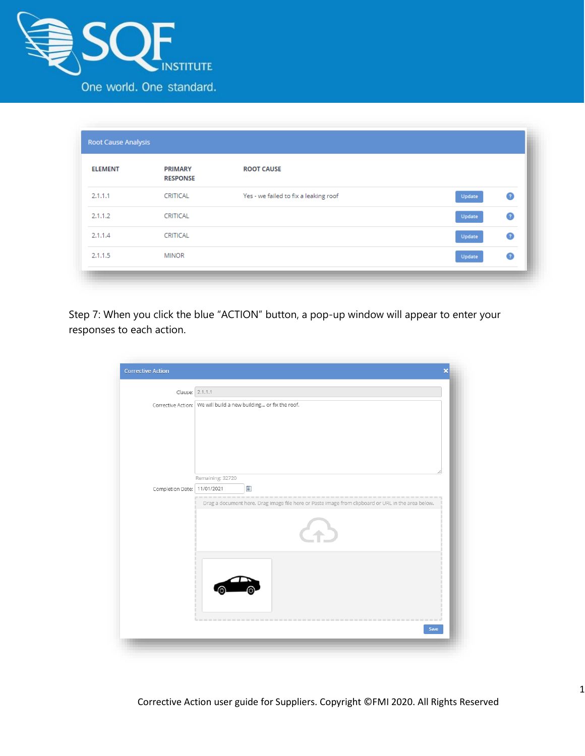

| <b>ELEMENT</b> | <b>PRIMARY</b><br><b>RESPONSE</b> | <b>ROOT CAUSE</b>                     |                     |
|----------------|-----------------------------------|---------------------------------------|---------------------|
| 2.1.1.1        | <b>CRITICAL</b>                   | Yes - we failed to fix a leaking roof | $\bullet$<br>Update |
| 2.1.1.2        | <b>CRITICAL</b>                   |                                       | $\bullet$<br>Update |
| 2.1.1.4        | CRITICAL                          |                                       | $\bullet$<br>Update |
| 2.1.1.5        | <b>MINOR</b>                      |                                       | $\bullet$<br>Update |

Step 7: When you click the blue "ACTION" button, a pop-up window will appear to enter your responses to each action.

| Clause: 2.1.1.1             |                                                                                                    |
|-----------------------------|----------------------------------------------------------------------------------------------------|
|                             | Corrective Action: We will build a new building or fix the roof.                                   |
|                             |                                                                                                    |
|                             |                                                                                                    |
|                             |                                                                                                    |
|                             | Remaining: 32720                                                                                   |
| Completion Date: 11/01/2021 | 冊                                                                                                  |
|                             | Drag a document here. Drag image file here or Paste image from clipboard or URL in the area below. |
|                             |                                                                                                    |
|                             |                                                                                                    |
|                             |                                                                                                    |
|                             |                                                                                                    |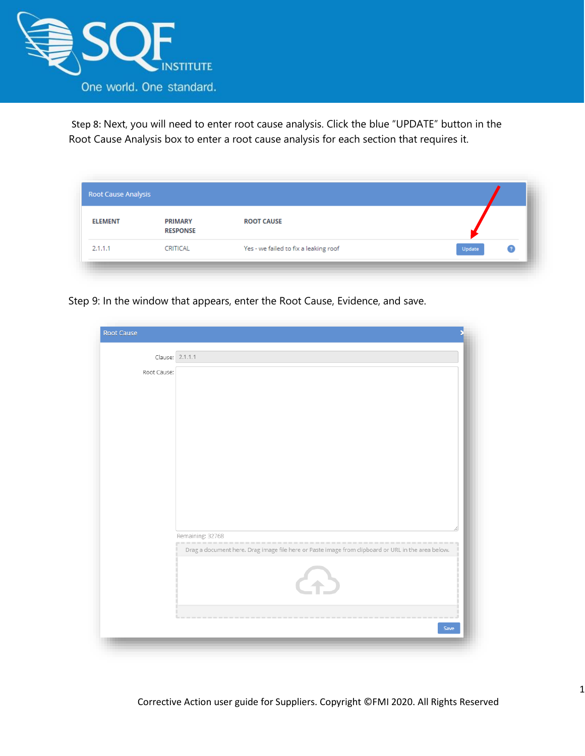

Step 8: Next, you will need to enter root cause analysis. Click the blue "UPDATE" button in the Root Cause Analysis box to enter a root cause analysis for each section that requires it.

| Root Cause Analysis |                                   |                                       |        |
|---------------------|-----------------------------------|---------------------------------------|--------|
| <b>ELEMENT</b>      | <b>PRIMARY</b><br><b>RESPONSE</b> | <b>ROOT CAUSE</b>                     |        |
| 2.1.1.1             | <b>CRITICAL</b>                   | Yes - we failed to fix a leaking roof | Update |

Step 9: In the window that appears, enter the Root Cause, Evidence, and save.

| <b>Root Cause</b> |                                                                                                    |  |
|-------------------|----------------------------------------------------------------------------------------------------|--|
| Clause: 2.1.1.1   |                                                                                                    |  |
| Root Cause:       |                                                                                                    |  |
|                   |                                                                                                    |  |
|                   |                                                                                                    |  |
|                   |                                                                                                    |  |
|                   |                                                                                                    |  |
|                   |                                                                                                    |  |
|                   |                                                                                                    |  |
|                   |                                                                                                    |  |
|                   |                                                                                                    |  |
|                   |                                                                                                    |  |
|                   |                                                                                                    |  |
|                   |                                                                                                    |  |
|                   |                                                                                                    |  |
|                   | Remaining: 32768                                                                                   |  |
|                   | Drag a document here. Drag image file here or Paste image from clipboard or URL in the area below. |  |
|                   | A                                                                                                  |  |
|                   |                                                                                                    |  |
|                   | Save                                                                                               |  |
|                   |                                                                                                    |  |
|                   |                                                                                                    |  |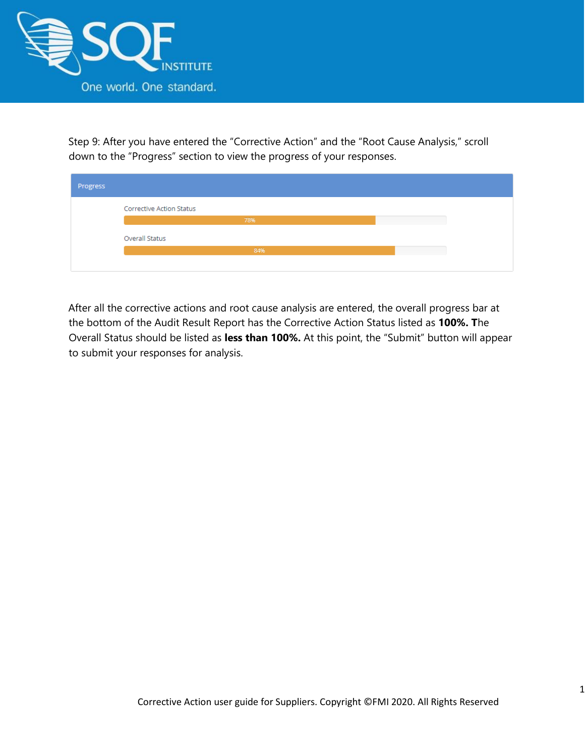

Step 9: After you have entered the "Corrective Action" and the "Root Cause Analysis," scroll down to the "Progress" section to view the progress of your responses.

| Progress |                                 |  |
|----------|---------------------------------|--|
|          | <b>Corrective Action Status</b> |  |
|          | 78%                             |  |
|          | Overall Status                  |  |
|          | 84%                             |  |
|          |                                 |  |

After all the corrective actions and root cause analysis are entered, the overall progress bar at the bottom of the Audit Result Report has the Corrective Action Status listed as **100%. T**he Overall Status should be listed as **less than 100%.** At this point, the "Submit" button will appear to submit your responses for analysis.